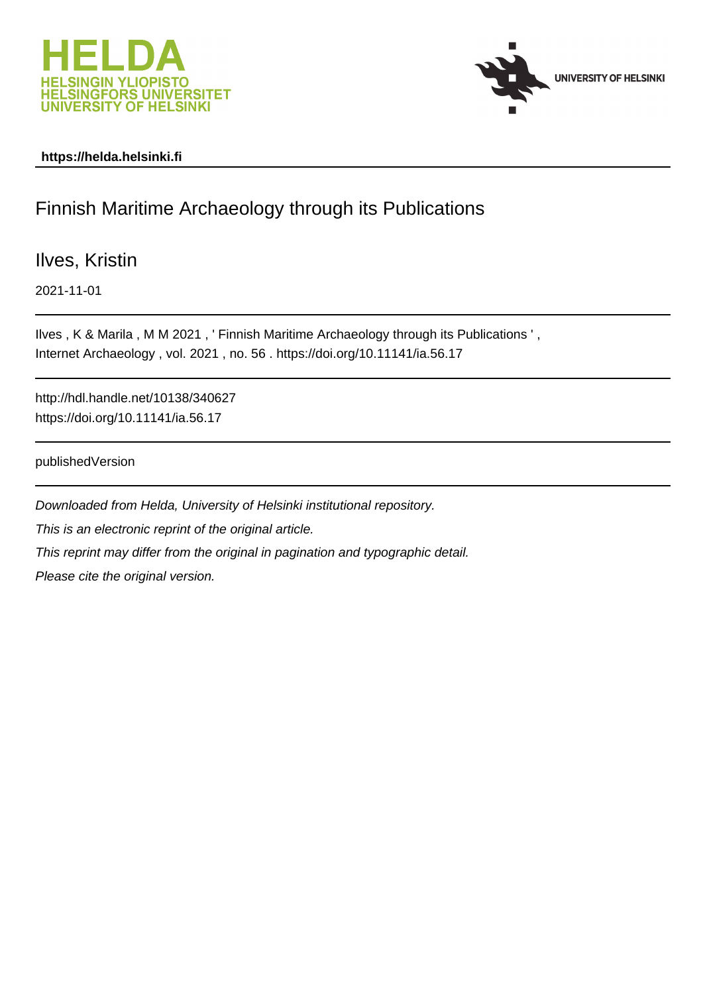



#### **https://helda.helsinki.fi**

#### Finnish Maritime Archaeology through its Publications

Ilves, Kristin

2021-11-01

Ilves , K & Marila , M M 2021 , ' Finnish Maritime Archaeology through its Publications ' , Internet Archaeology , vol. 2021 , no. 56 . https://doi.org/10.11141/ia.56.17

http://hdl.handle.net/10138/340627 https://doi.org/10.11141/ia.56.17

publishedVersion

Downloaded from Helda, University of Helsinki institutional repository. This is an electronic reprint of the original article. This reprint may differ from the original in pagination and typographic detail. Please cite the original version.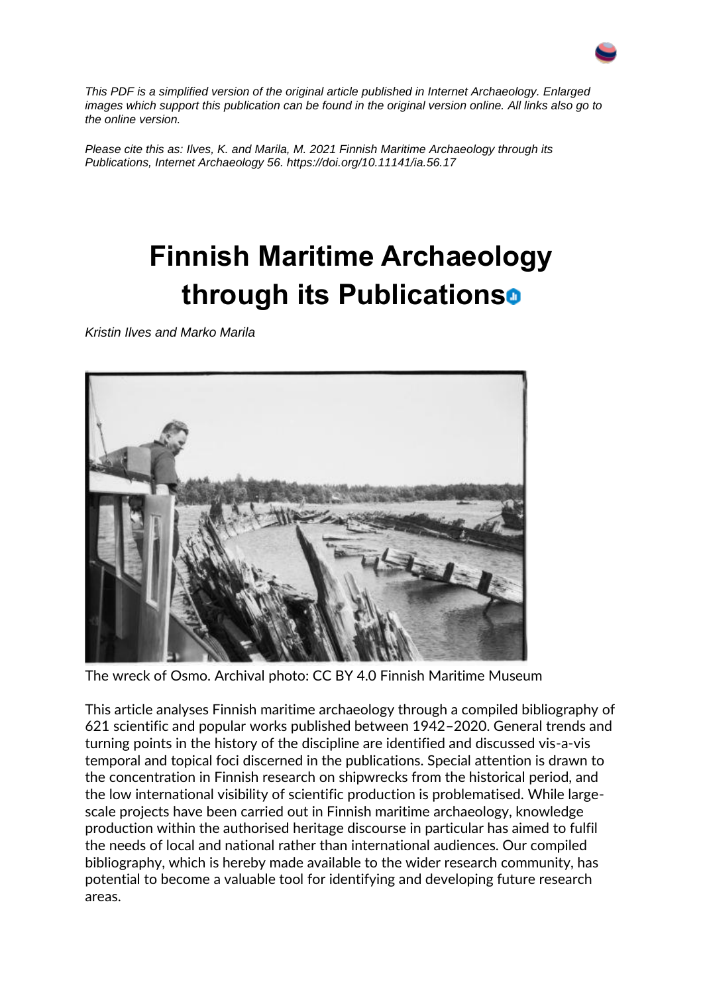

*This PDF is a simplified version of the original article published in Internet Archaeology. Enlarged images which support this publication can be found in the original version online. All links also go to the online version.*

*Please cite this as: Ilves, K. and Marila, M. 2021 Finnish Maritime Archaeology through its Publications, Internet Archaeology 56. https://doi.org/10.11141/ia.56.17*

## **Finnish Maritime Archaeology through its Publications**

*Kristin Ilves and Marko Marila*



The wreck of Osmo. Archival photo: CC BY 4.0 Finnish Maritime Museum

This article analyses Finnish maritime archaeology through a compiled bibliography of 621 scientific and popular works published between 1942–2020. General trends and turning points in the history of the discipline are identified and discussed vis-a-vis temporal and topical foci discerned in the publications. Special attention is drawn to the concentration in Finnish research on shipwrecks from the historical period, and the low international visibility of scientific production is problematised. While largescale projects have been carried out in Finnish maritime archaeology, knowledge production within the authorised heritage discourse in particular has aimed to fulfil the needs of local and national rather than international audiences. Our compiled bibliography, which is hereby made available to the wider research community, has potential to become a valuable tool for identifying and developing future research areas.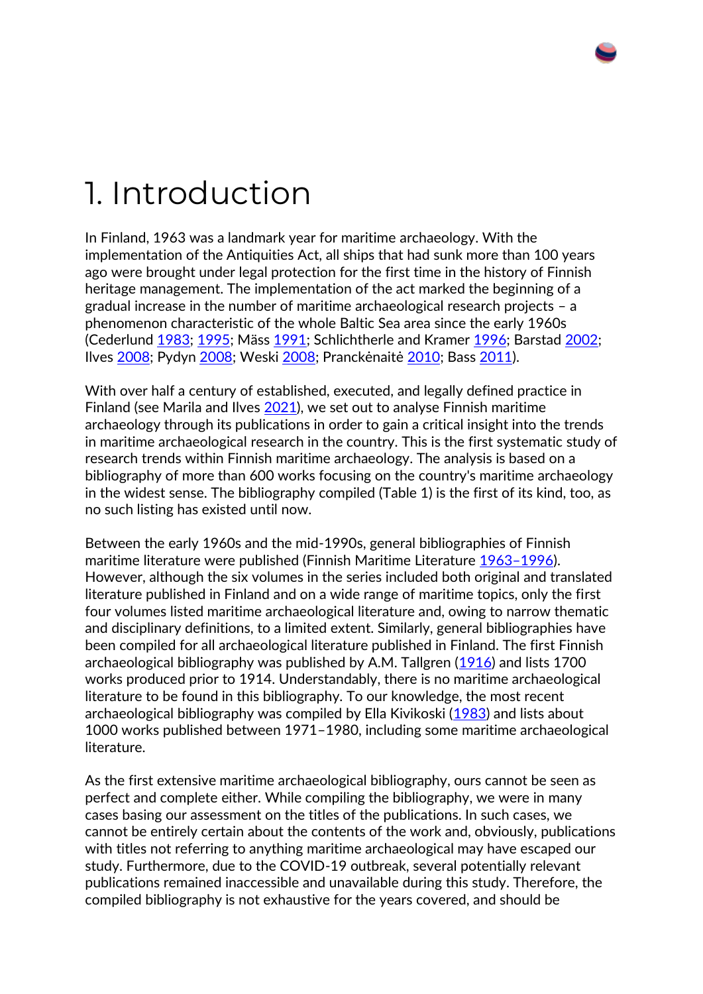## 1. Introduction

In Finland, 1963 was a landmark year for maritime archaeology. With the implementation of the Antiquities Act, all ships that had sunk more than 100 years ago were brought under legal protection for the first time in the history of Finnish heritage management. The implementation of the act marked the beginning of a gradual increase in the number of maritime archaeological research projects – a phenomenon characteristic of the whole Baltic Sea area since the early 1960s (Cederlund [1983;](https://intarch.ac.uk/journal/issue56/17/index.html#biblio) [1995;](https://intarch.ac.uk/journal/issue56/17/index.html#biblio) Mäss [1991;](https://intarch.ac.uk/journal/issue56/17/index.html#biblio) Schlichtherle and Kramer [1996;](https://intarch.ac.uk/journal/issue56/17/index.html#biblio) Barstad [2002;](https://intarch.ac.uk/journal/issue56/17/index.html#biblio) Ilves [2008;](https://intarch.ac.uk/journal/issue56/17/index.html#biblio) Pydyn [2008;](https://intarch.ac.uk/journal/issue56/17/index.html#biblio) Weski [2008](https://intarch.ac.uk/journal/issue56/17/index.html#biblio); Pranckėnaitė [2010;](https://intarch.ac.uk/journal/issue56/17/index.html#biblio) Bass [2011\)](https://intarch.ac.uk/journal/issue56/17/index.html#biblio).

With over half a century of established, executed, and legally defined practice in Finland (see Marila and Ilves [2021\)](https://intarch.ac.uk/journal/issue56/17/index.html#biblio), we set out to analyse Finnish maritime archaeology through its publications in order to gain a critical insight into the trends in maritime archaeological research in the country. This is the first systematic study of research trends within Finnish maritime archaeology. The analysis is based on a bibliography of more than 600 works focusing on the country's maritime archaeology in the widest sense. The bibliography compiled (Table 1) is the first of its kind, too, as no such listing has existed until now.

Between the early 1960s and the mid-1990s, general bibliographies of Finnish maritime literature were published (Finnish Maritime Literature 1963–[1996\)](https://intarch.ac.uk/journal/issue56/17/index.html#biblio). However, although the six volumes in the series included both original and translated literature published in Finland and on a wide range of maritime topics, only the first four volumes listed maritime archaeological literature and, owing to narrow thematic and disciplinary definitions, to a limited extent. Similarly, general bibliographies have been compiled for all archaeological literature published in Finland. The first Finnish archaeological bibliography was published by A.M. Tallgren [\(1916\)](https://intarch.ac.uk/journal/issue56/17/index.html#biblio) and lists 1700 works produced prior to 1914. Understandably, there is no maritime archaeological literature to be found in this bibliography. To our knowledge, the most recent archaeological bibliography was compiled by Ella Kivikoski [\(1983\)](https://intarch.ac.uk/journal/issue56/17/index.html#biblio) and lists about 1000 works published between 1971–1980, including some maritime archaeological literature.

As the first extensive maritime archaeological bibliography, ours cannot be seen as perfect and complete either. While compiling the bibliography, we were in many cases basing our assessment on the titles of the publications. In such cases, we cannot be entirely certain about the contents of the work and, obviously, publications with titles not referring to anything maritime archaeological may have escaped our study. Furthermore, due to the COVID-19 outbreak, several potentially relevant publications remained inaccessible and unavailable during this study. Therefore, the compiled bibliography is not exhaustive for the years covered, and should be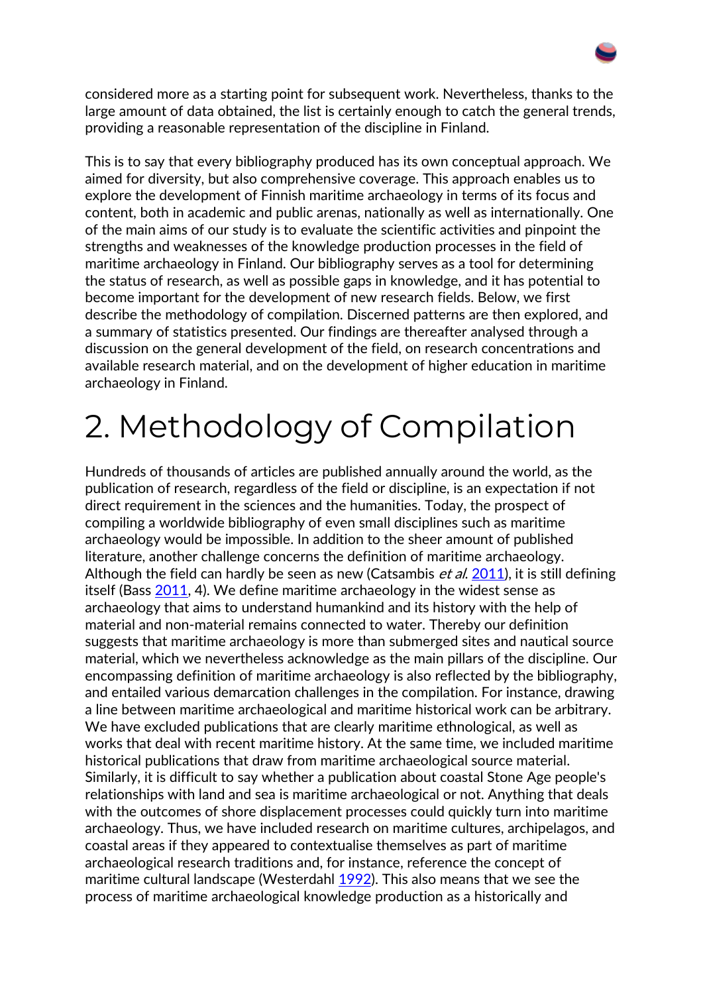considered more as a starting point for subsequent work. Nevertheless, thanks to the large amount of data obtained, the list is certainly enough to catch the general trends, providing a reasonable representation of the discipline in Finland.

This is to say that every bibliography produced has its own conceptual approach. We aimed for diversity, but also comprehensive coverage. This approach enables us to explore the development of Finnish maritime archaeology in terms of its focus and content, both in academic and public arenas, nationally as well as internationally. One of the main aims of our study is to evaluate the scientific activities and pinpoint the strengths and weaknesses of the knowledge production processes in the field of maritime archaeology in Finland. Our bibliography serves as a tool for determining the status of research, as well as possible gaps in knowledge, and it has potential to become important for the development of new research fields. Below, we first describe the methodology of compilation. Discerned patterns are then explored, and a summary of statistics presented. Our findings are thereafter analysed through a discussion on the general development of the field, on research concentrations and available research material, and on the development of higher education in maritime archaeology in Finland.

## 2. Methodology of Compilation

Hundreds of thousands of articles are published annually around the world, as the publication of research, regardless of the field or discipline, is an expectation if not direct requirement in the sciences and the humanities. Today, the prospect of compiling a worldwide bibliography of even small disciplines such as maritime archaeology would be impossible. In addition to the sheer amount of published literature, another challenge concerns the definition of maritime archaeology. Although the field can hardly be seen as new (Catsambis et al. [2011\)](https://intarch.ac.uk/journal/issue56/17/index.html#biblio), it is still defining itself (Bass [2011,](https://intarch.ac.uk/journal/issue56/17/index.html#biblio) 4). We define maritime archaeology in the widest sense as archaeology that aims to understand humankind and its history with the help of material and non-material remains connected to water. Thereby our definition suggests that maritime archaeology is more than submerged sites and nautical source material, which we nevertheless acknowledge as the main pillars of the discipline. Our encompassing definition of maritime archaeology is also reflected by the bibliography, and entailed various demarcation challenges in the compilation. For instance, drawing a line between maritime archaeological and maritime historical work can be arbitrary. We have excluded publications that are clearly maritime ethnological, as well as works that deal with recent maritime history. At the same time, we included maritime historical publications that draw from maritime archaeological source material. Similarly, it is difficult to say whether a publication about coastal Stone Age people's relationships with land and sea is maritime archaeological or not. Anything that deals with the outcomes of shore displacement processes could quickly turn into maritime archaeology. Thus, we have included research on maritime cultures, archipelagos, and coastal areas if they appeared to contextualise themselves as part of maritime archaeological research traditions and, for instance, reference the concept of maritime cultural landscape (Westerdahl [1992\)](https://intarch.ac.uk/journal/issue56/17/index.html#biblio). This also means that we see the process of maritime archaeological knowledge production as a historically and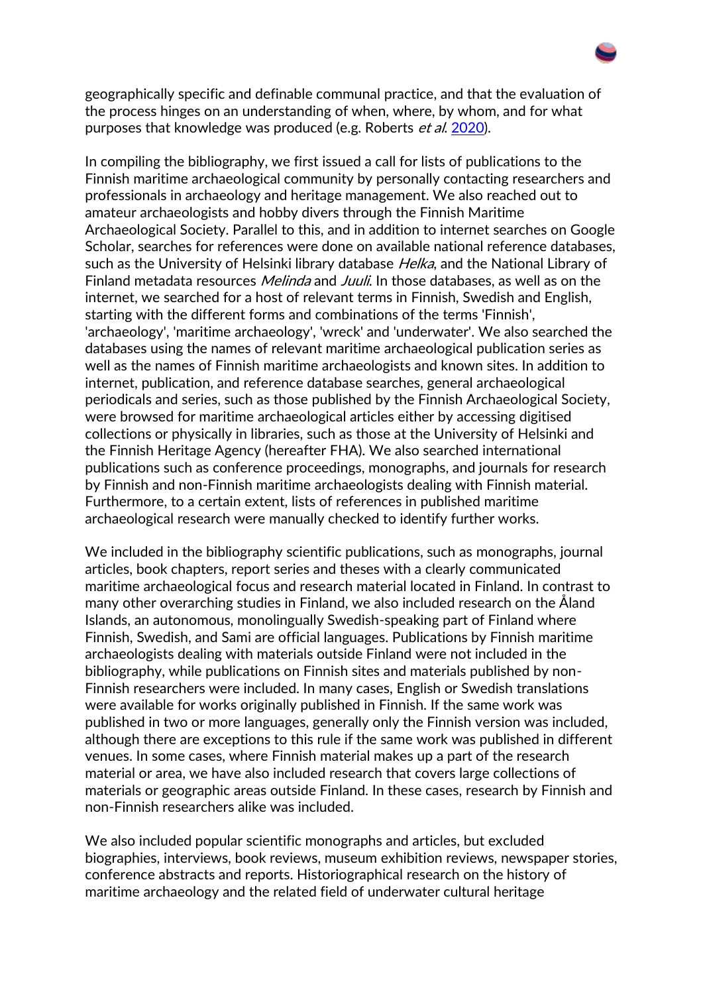geographically specific and definable communal practice, and that the evaluation of the process hinges on an understanding of when, where, by whom, and for what purposes that knowledge was produced (e.g. Roberts et al. [2020\)](https://intarch.ac.uk/journal/issue56/17/index.html#biblio).

In compiling the bibliography, we first issued a call for lists of publications to the Finnish maritime archaeological community by personally contacting researchers and professionals in archaeology and heritage management. We also reached out to amateur archaeologists and hobby divers through the Finnish Maritime Archaeological Society. Parallel to this, and in addition to internet searches on Google Scholar, searches for references were done on available national reference databases, such as the University of Helsinki library database *Helka*, and the National Library of Finland metadata resources *Melinda* and *Juuli*. In those databases, as well as on the internet, we searched for a host of relevant terms in Finnish, Swedish and English, starting with the different forms and combinations of the terms 'Finnish', 'archaeology', 'maritime archaeology', 'wreck' and 'underwater'. We also searched the databases using the names of relevant maritime archaeological publication series as well as the names of Finnish maritime archaeologists and known sites. In addition to internet, publication, and reference database searches, general archaeological periodicals and series, such as those published by the Finnish Archaeological Society, were browsed for maritime archaeological articles either by accessing digitised collections or physically in libraries, such as those at the University of Helsinki and the Finnish Heritage Agency (hereafter FHA). We also searched international publications such as conference proceedings, monographs, and journals for research by Finnish and non-Finnish maritime archaeologists dealing with Finnish material. Furthermore, to a certain extent, lists of references in published maritime archaeological research were manually checked to identify further works.

We included in the bibliography scientific publications, such as monographs, journal articles, book chapters, report series and theses with a clearly communicated maritime archaeological focus and research material located in Finland. In contrast to many other overarching studies in Finland, we also included research on the Åland Islands, an autonomous, monolingually Swedish-speaking part of Finland where Finnish, Swedish, and Sami are official languages. Publications by Finnish maritime archaeologists dealing with materials outside Finland were not included in the bibliography, while publications on Finnish sites and materials published by non-Finnish researchers were included. In many cases, English or Swedish translations were available for works originally published in Finnish. If the same work was published in two or more languages, generally only the Finnish version was included, although there are exceptions to this rule if the same work was published in different venues. In some cases, where Finnish material makes up a part of the research material or area, we have also included research that covers large collections of materials or geographic areas outside Finland. In these cases, research by Finnish and non-Finnish researchers alike was included.

We also included popular scientific monographs and articles, but excluded biographies, interviews, book reviews, museum exhibition reviews, newspaper stories, conference abstracts and reports. Historiographical research on the history of maritime archaeology and the related field of underwater cultural heritage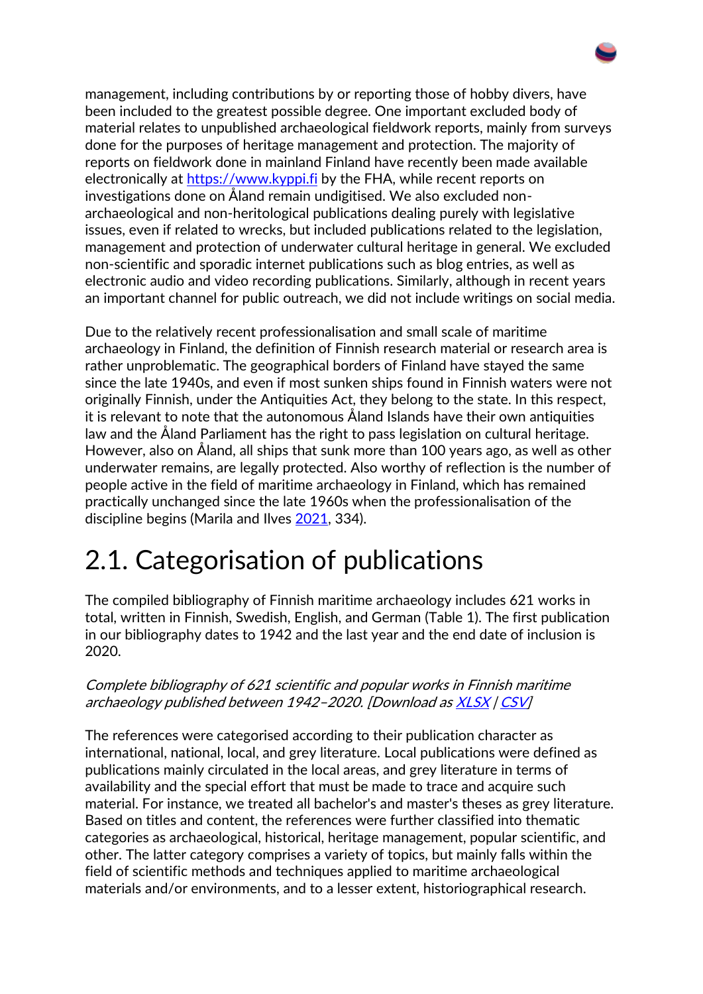management, including contributions by or reporting those of hobby divers, have been included to the greatest possible degree. One important excluded body of material relates to unpublished archaeological fieldwork reports, mainly from surveys done for the purposes of heritage management and protection. The majority of reports on fieldwork done in mainland Finland have recently been made available electronically at [https://www.kyppi.fi](https://www.kyppi.fi/) by the FHA, while recent reports on investigations done on Åland remain undigitised. We also excluded nonarchaeological and non-heritological publications dealing purely with legislative issues, even if related to wrecks, but included publications related to the legislation, management and protection of underwater cultural heritage in general. We excluded non-scientific and sporadic internet publications such as blog entries, as well as electronic audio and video recording publications. Similarly, although in recent years an important channel for public outreach, we did not include writings on social media.

Due to the relatively recent professionalisation and small scale of maritime archaeology in Finland, the definition of Finnish research material or research area is rather unproblematic. The geographical borders of Finland have stayed the same since the late 1940s, and even if most sunken ships found in Finnish waters were not originally Finnish, under the Antiquities Act, they belong to the state. In this respect, it is relevant to note that the autonomous Åland Islands have their own antiquities law and the Åland Parliament has the right to pass legislation on cultural heritage. However, also on Åland, all ships that sunk more than 100 years ago, as well as other underwater remains, are legally protected. Also worthy of reflection is the number of people active in the field of maritime archaeology in Finland, which has remained practically unchanged since the late 1960s when the professionalisation of the discipline begins (Marila and Ilves [2021,](https://intarch.ac.uk/journal/issue56/17/index.html#biblio) 334).

### 2.1. Categorisation of publications

The compiled bibliography of Finnish maritime archaeology includes 621 works in total, written in Finnish, Swedish, English, and German (Table 1). The first publication in our bibliography dates to 1942 and the last year and the end date of inclusion is 2020.

#### Complete bibliography of 621 scientific and popular works in Finnish maritime archaeology published between 1942–2020. [Download as [XLSX](https://intarch.ac.uk/journal/issue56/17/data/TABLE_01.xlsx) | [CSV\]](https://intarch.ac.uk/journal/issue56/17/data/TABLE_01.csv)

The references were categorised according to their publication character as international, national, local, and grey literature. Local publications were defined as publications mainly circulated in the local areas, and grey literature in terms of availability and the special effort that must be made to trace and acquire such material. For instance, we treated all bachelor's and master's theses as grey literature. Based on titles and content, the references were further classified into thematic categories as archaeological, historical, heritage management, popular scientific, and other. The latter category comprises a variety of topics, but mainly falls within the field of scientific methods and techniques applied to maritime archaeological materials and/or environments, and to a lesser extent, historiographical research.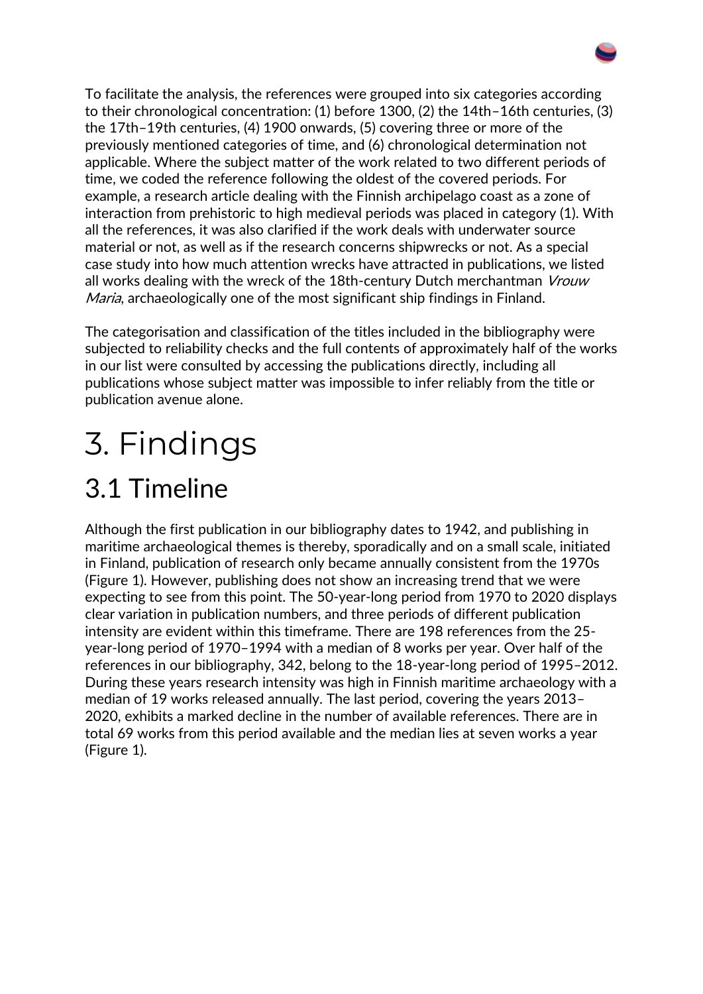To facilitate the analysis, the references were grouped into six categories according to their chronological concentration: (1) before 1300, (2) the 14th–16th centuries, (3) the 17th–19th centuries, (4) 1900 onwards, (5) covering three or more of the previously mentioned categories of time, and (6) chronological determination not applicable. Where the subject matter of the work related to two different periods of time, we coded the reference following the oldest of the covered periods. For example, a research article dealing with the Finnish archipelago coast as a zone of interaction from prehistoric to high medieval periods was placed in category (1). With all the references, it was also clarified if the work deals with underwater source material or not, as well as if the research concerns shipwrecks or not. As a special case study into how much attention wrecks have attracted in publications, we listed all works dealing with the wreck of the 18th-century Dutch merchantman Vrouw Maria, archaeologically one of the most significant ship findings in Finland.

The categorisation and classification of the titles included in the bibliography were subjected to reliability checks and the full contents of approximately half of the works in our list were consulted by accessing the publications directly, including all publications whose subject matter was impossible to infer reliably from the title or publication avenue alone.

# 3. Findings

## 3.1 Timeline

Although the first publication in our bibliography dates to 1942, and publishing in maritime archaeological themes is thereby, sporadically and on a small scale, initiated in Finland, publication of research only became annually consistent from the 1970s (Figure 1). However, publishing does not show an increasing trend that we were expecting to see from this point. The 50-year-long period from 1970 to 2020 displays clear variation in publication numbers, and three periods of different publication intensity are evident within this timeframe. There are 198 references from the 25 year-long period of 1970–1994 with a median of 8 works per year. Over half of the references in our bibliography, 342, belong to the 18-year-long period of 1995–2012. During these years research intensity was high in Finnish maritime archaeology with a median of 19 works released annually. The last period, covering the years 2013– 2020, exhibits a marked decline in the number of available references. There are in total 69 works from this period available and the median lies at seven works a year (Figure 1).

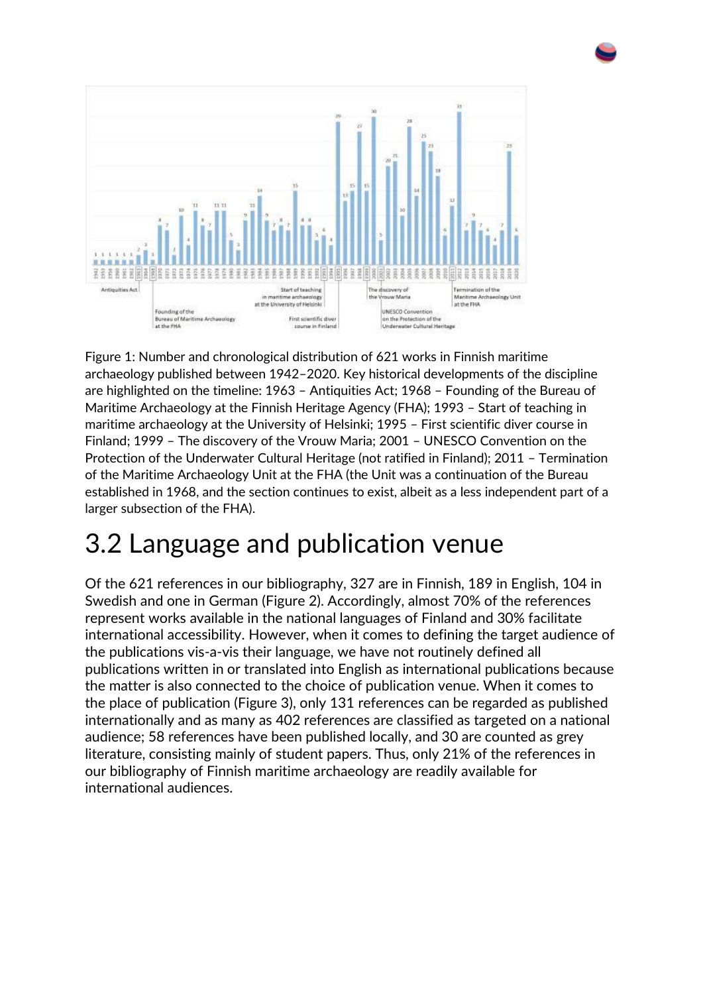



Figure 1: Number and chronological distribution of 621 works in Finnish maritime archaeology published between 1942–2020. Key historical developments of the discipline are highlighted on the timeline: 1963 – Antiquities Act; 1968 – Founding of the Bureau of Maritime Archaeology at the Finnish Heritage Agency (FHA); 1993 – Start of teaching in maritime archaeology at the University of Helsinki; 1995 – First scientific diver course in Finland; 1999 – The discovery of the Vrouw Maria; 2001 – UNESCO Convention on the Protection of the Underwater Cultural Heritage (not ratified in Finland); 2011 – Termination of the Maritime Archaeology Unit at the FHA (the Unit was a continuation of the Bureau established in 1968, and the section continues to exist, albeit as a less independent part of a larger subsection of the FHA).

### 3.2 Language and publication venue

Of the 621 references in our bibliography, 327 are in Finnish, 189 in English, 104 in Swedish and one in German (Figure 2). Accordingly, almost 70% of the references represent works available in the national languages of Finland and 30% facilitate international accessibility. However, when it comes to defining the target audience of the publications vis-a-vis their language, we have not routinely defined all publications written in or translated into English as international publications because the matter is also connected to the choice of publication venue. When it comes to the place of publication (Figure 3), only 131 references can be regarded as published internationally and as many as 402 references are classified as targeted on a national audience; 58 references have been published locally, and 30 are counted as grey literature, consisting mainly of student papers. Thus, only 21% of the references in our bibliography of Finnish maritime archaeology are readily available for international audiences.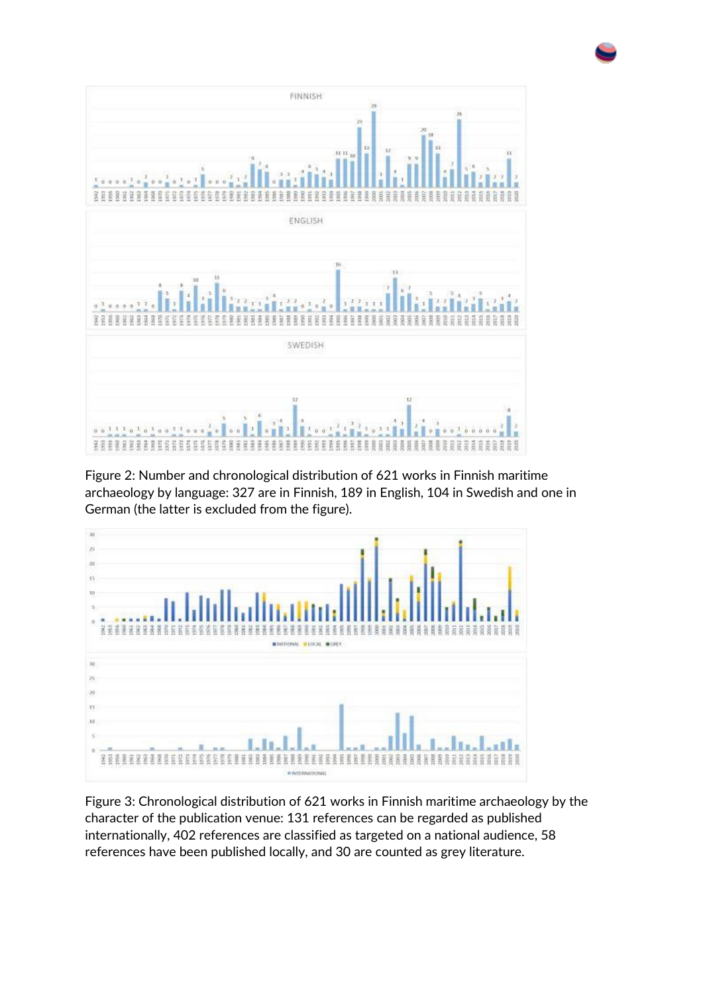

Figure 2: Number and chronological distribution of 621 works in Finnish maritime archaeology by language: 327 are in Finnish, 189 in English, 104 in Swedish and one in German (the latter is excluded from the figure).



Figure 3: Chronological distribution of 621 works in Finnish maritime archaeology by the character of the publication venue: 131 references can be regarded as published internationally, 402 references are classified as targeted on a national audience, 58 references have been published locally, and 30 are counted as grey literature.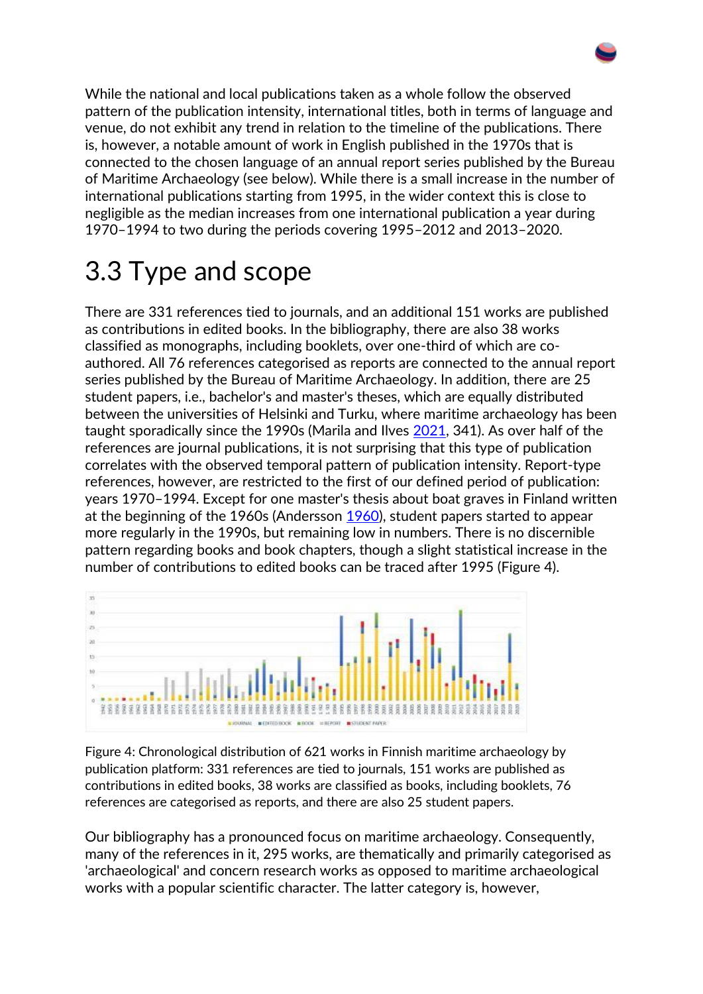While the national and local publications taken as a whole follow the observed pattern of the publication intensity, international titles, both in terms of language and venue, do not exhibit any trend in relation to the timeline of the publications. There is, however, a notable amount of work in English published in the 1970s that is connected to the chosen language of an annual report series published by the Bureau of Maritime Archaeology (see below). While there is a small increase in the number of international publications starting from 1995, in the wider context this is close to negligible as the median increases from one international publication a year during 1970–1994 to two during the periods covering 1995–2012 and 2013–2020.

### 3.3 Type and scope

There are 331 references tied to journals, and an additional 151 works are published as contributions in edited books. In the bibliography, there are also 38 works classified as monographs, including booklets, over one-third of which are coauthored. All 76 references categorised as reports are connected to the annual report series published by the Bureau of Maritime Archaeology. In addition, there are 25 student papers, i.e., bachelor's and master's theses, which are equally distributed between the universities of Helsinki and Turku, where maritime archaeology has been taught sporadically since the 1990s (Marila and Ilves [2021,](https://intarch.ac.uk/journal/issue56/17/index.html#biblio) 341). As over half of the references are journal publications, it is not surprising that this type of publication correlates with the observed temporal pattern of publication intensity. Report-type references, however, are restricted to the first of our defined period of publication: years 1970–1994. Except for one master's thesis about boat graves in Finland written at the beginning of the 1960s (Andersson [1960\)](https://intarch.ac.uk/journal/issue56/17/index.html#biblio), student papers started to appear more regularly in the 1990s, but remaining low in numbers. There is no discernible pattern regarding books and book chapters, though a slight statistical increase in the number of contributions to edited books can be traced after 1995 (Figure 4).



Figure 4: Chronological distribution of 621 works in Finnish maritime archaeology by publication platform: 331 references are tied to journals, 151 works are published as contributions in edited books, 38 works are classified as books, including booklets, 76 references are categorised as reports, and there are also 25 student papers.

Our bibliography has a pronounced focus on maritime archaeology. Consequently, many of the references in it, 295 works, are thematically and primarily categorised as 'archaeological' and concern research works as opposed to maritime archaeological works with a popular scientific character. The latter category is, however,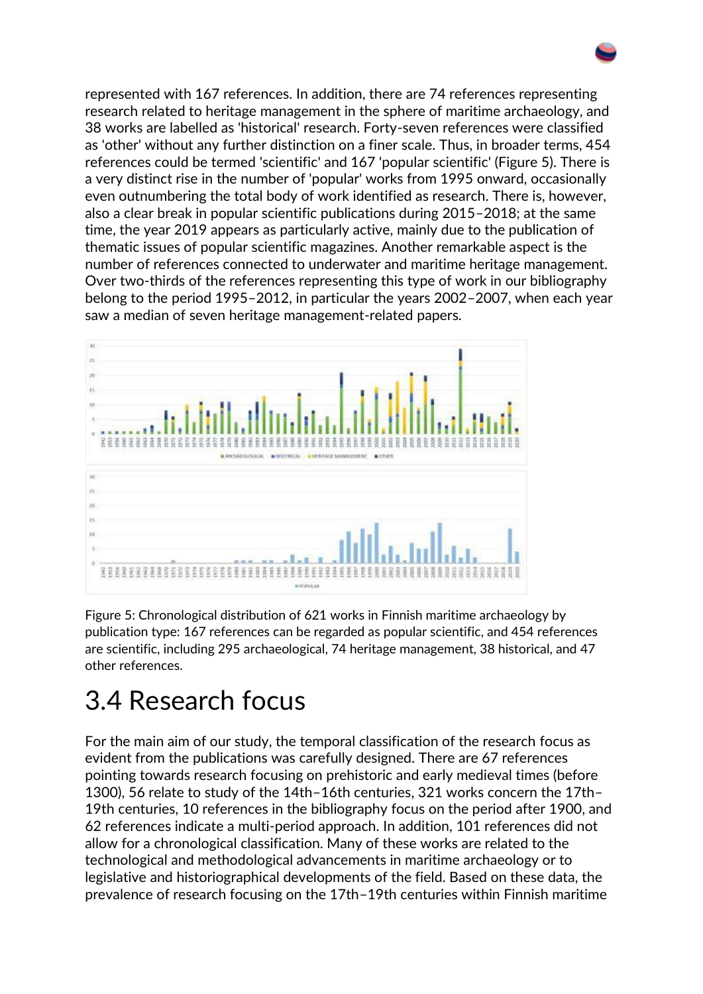represented with 167 references. In addition, there are 74 references representing research related to heritage management in the sphere of maritime archaeology, and 38 works are labelled as 'historical' research. Forty-seven references were classified as 'other' without any further distinction on a finer scale. Thus, in broader terms, 454 references could be termed 'scientific' and 167 'popular scientific' (Figure 5). There is a very distinct rise in the number of 'popular' works from 1995 onward, occasionally even outnumbering the total body of work identified as research. There is, however, also a clear break in popular scientific publications during 2015–2018; at the same time, the year 2019 appears as particularly active, mainly due to the publication of thematic issues of popular scientific magazines. Another remarkable aspect is the number of references connected to underwater and maritime heritage management. Over two-thirds of the references representing this type of work in our bibliography belong to the period 1995–2012, in particular the years 2002–2007, when each year saw a median of seven heritage management-related papers.



Figure 5: Chronological distribution of 621 works in Finnish maritime archaeology by publication type: 167 references can be regarded as popular scientific, and 454 references are scientific, including 295 archaeological, 74 heritage management, 38 historical, and 47 other references.

#### 3.4 Research focus

For the main aim of our study, the temporal classification of the research focus as evident from the publications was carefully designed. There are 67 references pointing towards research focusing on prehistoric and early medieval times (before 1300), 56 relate to study of the 14th–16th centuries, 321 works concern the 17th– 19th centuries, 10 references in the bibliography focus on the period after 1900, and 62 references indicate a multi-period approach. In addition, 101 references did not allow for a chronological classification. Many of these works are related to the technological and methodological advancements in maritime archaeology or to legislative and historiographical developments of the field. Based on these data, the prevalence of research focusing on the 17th–19th centuries within Finnish maritime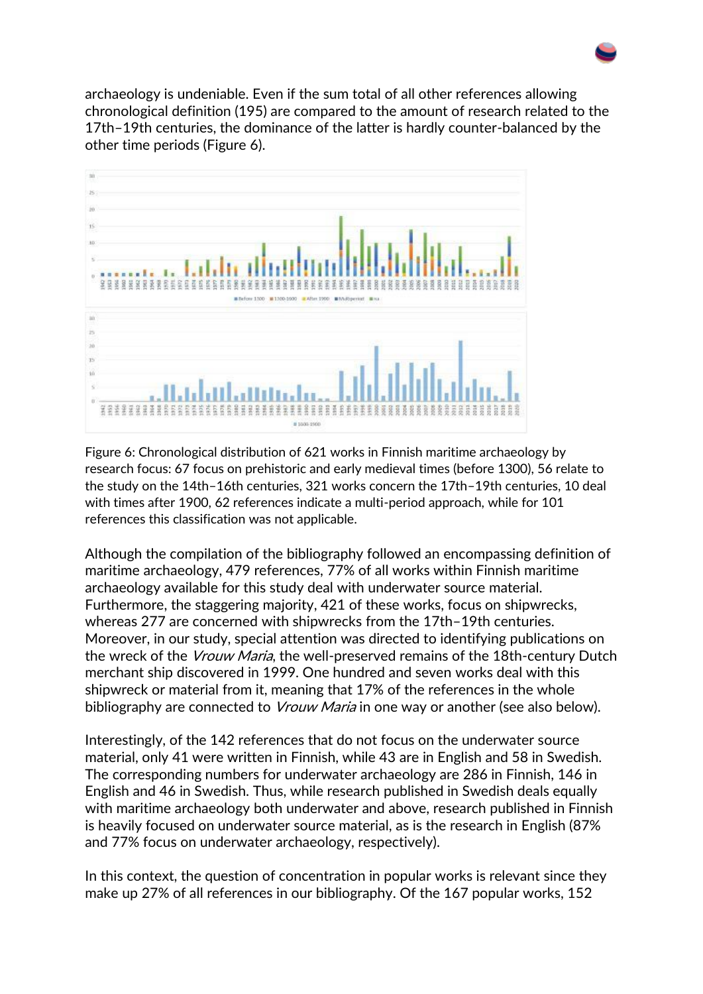archaeology is undeniable. Even if the sum total of all other references allowing chronological definition (195) are compared to the amount of research related to the 17th–19th centuries, the dominance of the latter is hardly counter-balanced by the other time periods (Figure 6).



Figure 6: Chronological distribution of 621 works in Finnish maritime archaeology by research focus: 67 focus on prehistoric and early medieval times (before 1300), 56 relate to the study on the 14th–16th centuries, 321 works concern the 17th–19th centuries, 10 deal with times after 1900, 62 references indicate a multi-period approach, while for 101 references this classification was not applicable.

Although the compilation of the bibliography followed an encompassing definition of maritime archaeology, 479 references, 77% of all works within Finnish maritime archaeology available for this study deal with underwater source material. Furthermore, the staggering majority, 421 of these works, focus on shipwrecks, whereas 277 are concerned with shipwrecks from the 17th–19th centuries. Moreover, in our study, special attention was directed to identifying publications on the wreck of the *Vrouw Maria*, the well-preserved remains of the 18th-century Dutch merchant ship discovered in 1999. One hundred and seven works deal with this shipwreck or material from it, meaning that 17% of the references in the whole bibliography are connected to *Vrouw Maria* in one way or another (see also below).

Interestingly, of the 142 references that do not focus on the underwater source material, only 41 were written in Finnish, while 43 are in English and 58 in Swedish. The corresponding numbers for underwater archaeology are 286 in Finnish, 146 in English and 46 in Swedish. Thus, while research published in Swedish deals equally with maritime archaeology both underwater and above, research published in Finnish is heavily focused on underwater source material, as is the research in English (87% and 77% focus on underwater archaeology, respectively).

In this context, the question of concentration in popular works is relevant since they make up 27% of all references in our bibliography. Of the 167 popular works, 152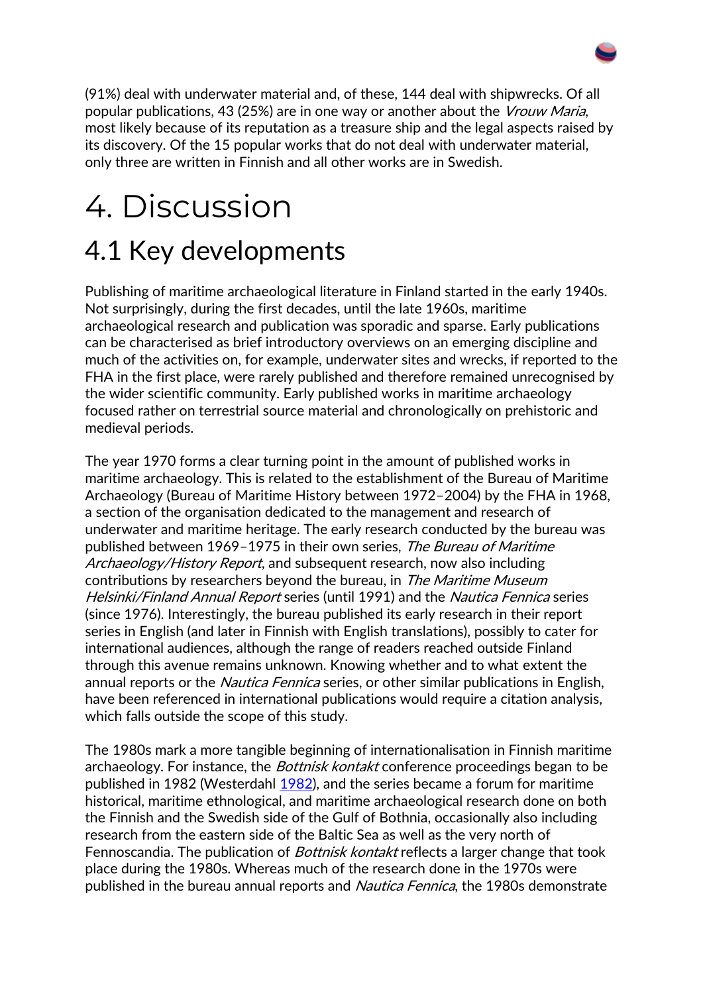(91%) deal with underwater material and, of these, 144 deal with shipwrecks. Of all popular publications, 43 (25%) are in one way or another about the Vrouw Maria, most likely because of its reputation as a treasure ship and the legal aspects raised by its discovery. Of the 15 popular works that do not deal with underwater material, only three are written in Finnish and all other works are in Swedish.

## 4. Discussion 4.1 Key developments

Publishing of maritime archaeological literature in Finland started in the early 1940s. Not surprisingly, during the first decades, until the late 1960s, maritime archaeological research and publication was sporadic and sparse. Early publications can be characterised as brief introductory overviews on an emerging discipline and much of the activities on, for example, underwater sites and wrecks, if reported to the FHA in the first place, were rarely published and therefore remained unrecognised by the wider scientific community. Early published works in maritime archaeology focused rather on terrestrial source material and chronologically on prehistoric and medieval periods.

The year 1970 forms a clear turning point in the amount of published works in maritime archaeology. This is related to the establishment of the Bureau of Maritime Archaeology (Bureau of Maritime History between 1972–2004) by the FHA in 1968, a section of the organisation dedicated to the management and research of underwater and maritime heritage. The early research conducted by the bureau was published between 1969–1975 in their own series, The Bureau of Maritime Archaeology/History Report, and subsequent research, now also including contributions by researchers beyond the bureau, in The Maritime Museum Helsinki/Finland Annual Report series (until 1991) and the Nautica Fennica series (since 1976). Interestingly, the bureau published its early research in their report series in English (and later in Finnish with English translations), possibly to cater for international audiences, although the range of readers reached outside Finland through this avenue remains unknown. Knowing whether and to what extent the annual reports or the *Nautica Fennica* series, or other similar publications in English, have been referenced in international publications would require a citation analysis, which falls outside the scope of this study.

The 1980s mark a more tangible beginning of internationalisation in Finnish maritime archaeology. For instance, the *Bottnisk kontakt* conference proceedings began to be published in 1982 (Westerdahl [1982\)](https://intarch.ac.uk/journal/issue56/17/index.html#biblio), and the series became a forum for maritime historical, maritime ethnological, and maritime archaeological research done on both the Finnish and the Swedish side of the Gulf of Bothnia, occasionally also including research from the eastern side of the Baltic Sea as well as the very north of Fennoscandia. The publication of *Bottnisk kontakt* reflects a larger change that took place during the 1980s. Whereas much of the research done in the 1970s were published in the bureau annual reports and Nautica Fennica, the 1980s demonstrate

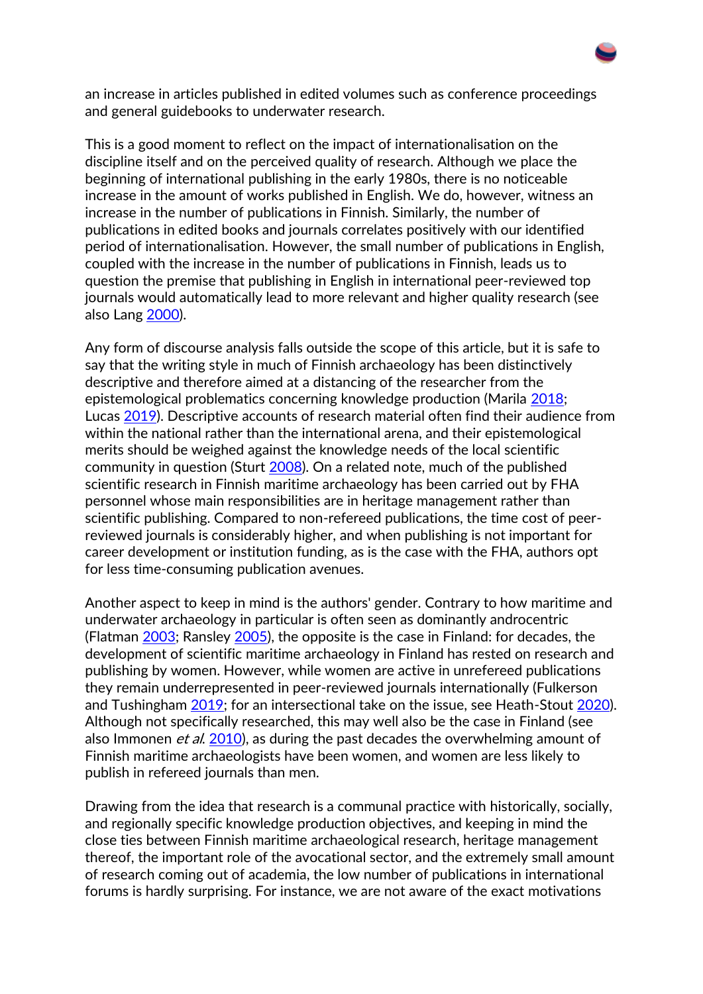an increase in articles published in edited volumes such as conference proceedings and general guidebooks to underwater research.

This is a good moment to reflect on the impact of internationalisation on the discipline itself and on the perceived quality of research. Although we place the beginning of international publishing in the early 1980s, there is no noticeable increase in the amount of works published in English. We do, however, witness an increase in the number of publications in Finnish. Similarly, the number of publications in edited books and journals correlates positively with our identified period of internationalisation. However, the small number of publications in English, coupled with the increase in the number of publications in Finnish, leads us to question the premise that publishing in English in international peer-reviewed top journals would automatically lead to more relevant and higher quality research (see also Lang [2000\)](https://intarch.ac.uk/journal/issue56/17/index.html#biblio).

Any form of discourse analysis falls outside the scope of this article, but it is safe to say that the writing style in much of Finnish archaeology has been distinctively descriptive and therefore aimed at a distancing of the researcher from the epistemological problematics concerning knowledge production (Marila [2018;](https://intarch.ac.uk/journal/issue56/17/index.html#biblio) Lucas [2019\)](https://intarch.ac.uk/journal/issue56/17/index.html#biblio). Descriptive accounts of research material often find their audience from within the national rather than the international arena, and their epistemological merits should be weighed against the knowledge needs of the local scientific community in question (Sturt [2008\)](https://intarch.ac.uk/journal/issue56/17/index.html#biblio). On a related note, much of the published scientific research in Finnish maritime archaeology has been carried out by FHA personnel whose main responsibilities are in heritage management rather than scientific publishing. Compared to non-refereed publications, the time cost of peerreviewed journals is considerably higher, and when publishing is not important for career development or institution funding, as is the case with the FHA, authors opt for less time-consuming publication avenues.

Another aspect to keep in mind is the authors' gender. Contrary to how maritime and underwater archaeology in particular is often seen as dominantly androcentric (Flatman [2003;](https://intarch.ac.uk/journal/issue56/17/index.html#biblio) Ransley [2005\)](https://intarch.ac.uk/journal/issue56/17/index.html#biblio), the opposite is the case in Finland: for decades, the development of scientific maritime archaeology in Finland has rested on research and publishing by women. However, while women are active in unrefereed publications they remain underrepresented in peer-reviewed journals internationally (Fulkerson and Tushingham [2019;](https://intarch.ac.uk/journal/issue56/17/index.html#biblio) for an intersectional take on the issue, see Heath-Stout [2020\)](https://intarch.ac.uk/journal/issue56/17/index.html#biblio). Although not specifically researched, this may well also be the case in Finland (see also Immonen *et al.* [2010\)](https://intarch.ac.uk/journal/issue56/17/index.html#biblio), as during the past decades the overwhelming amount of Finnish maritime archaeologists have been women, and women are less likely to publish in refereed journals than men.

Drawing from the idea that research is a communal practice with historically, socially, and regionally specific knowledge production objectives, and keeping in mind the close ties between Finnish maritime archaeological research, heritage management thereof, the important role of the avocational sector, and the extremely small amount of research coming out of academia, the low number of publications in international forums is hardly surprising. For instance, we are not aware of the exact motivations

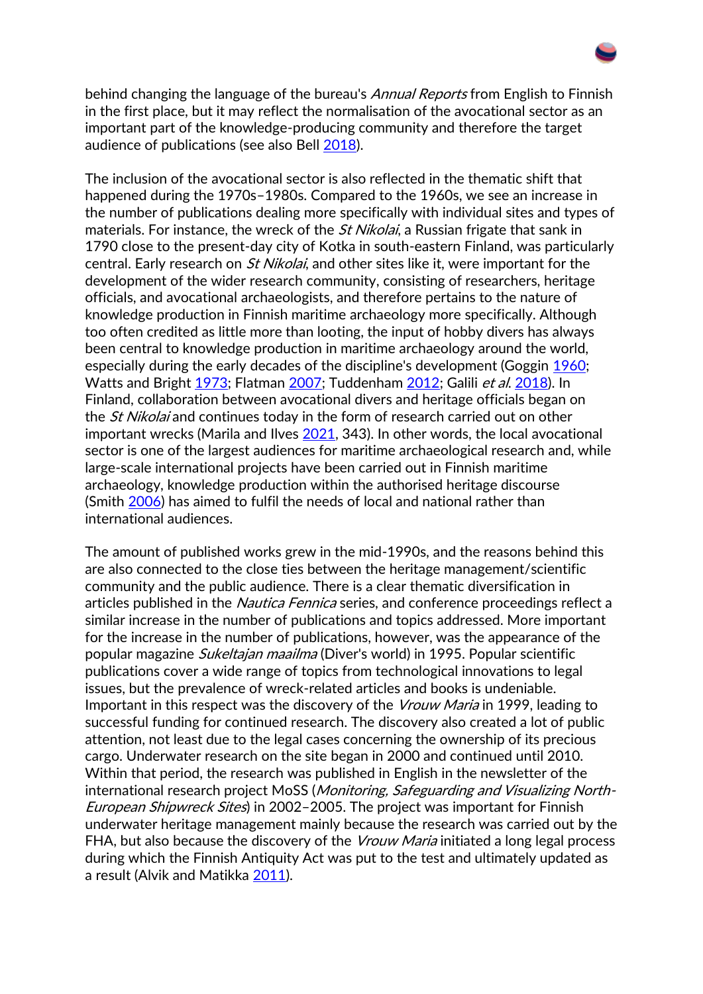

behind changing the language of the bureau's *Annual Reports* from English to Finnish in the first place, but it may reflect the normalisation of the avocational sector as an important part of the knowledge-producing community and therefore the target audience of publications (see also Bell [2018\)](https://intarch.ac.uk/journal/issue56/17/index.html#biblio).

The inclusion of the avocational sector is also reflected in the thematic shift that happened during the 1970s–1980s. Compared to the 1960s, we see an increase in the number of publications dealing more specifically with individual sites and types of materials. For instance, the wreck of the *St Nikolai*, a Russian frigate that sank in 1790 close to the present-day city of Kotka in south-eastern Finland, was particularly central. Early research on *St Nikolai*, and other sites like it, were important for the development of the wider research community, consisting of researchers, heritage officials, and avocational archaeologists, and therefore pertains to the nature of knowledge production in Finnish maritime archaeology more specifically. Although too often credited as little more than looting, the input of hobby divers has always been central to knowledge production in maritime archaeology around the world, especially during the early decades of the discipline's development (Goggin [1960;](https://intarch.ac.uk/journal/issue56/17/index.html#biblio) Watts and Bright [1973;](https://intarch.ac.uk/journal/issue56/17/index.html#biblio) Flatman [2007;](https://intarch.ac.uk/journal/issue56/17/index.html#biblio) Tuddenham [2012;](https://intarch.ac.uk/journal/issue56/17/index.html#biblio) Galili et al. [2018\)](https://intarch.ac.uk/journal/issue56/17/index.html#biblio). In Finland, collaboration between avocational divers and heritage officials began on the *St Nikolai* and continues today in the form of research carried out on other important wrecks (Marila and Ilves [2021,](https://intarch.ac.uk/journal/issue56/17/index.html#biblio) 343). In other words, the local avocational sector is one of the largest audiences for maritime archaeological research and, while large-scale international projects have been carried out in Finnish maritime archaeology, knowledge production within the authorised heritage discourse (Smith [2006\)](https://intarch.ac.uk/journal/issue56/17/index.html#biblio) has aimed to fulfil the needs of local and national rather than international audiences.

The amount of published works grew in the mid-1990s, and the reasons behind this are also connected to the close ties between the heritage management/scientific community and the public audience. There is a clear thematic diversification in articles published in the *Nautica Fennica* series, and conference proceedings reflect a similar increase in the number of publications and topics addressed. More important for the increase in the number of publications, however, was the appearance of the popular magazine Sukeltajan maailma (Diver's world) in 1995. Popular scientific publications cover a wide range of topics from technological innovations to legal issues, but the prevalence of wreck-related articles and books is undeniable. Important in this respect was the discovery of the *Vrouw Maria* in 1999, leading to successful funding for continued research. The discovery also created a lot of public attention, not least due to the legal cases concerning the ownership of its precious cargo. Underwater research on the site began in 2000 and continued until 2010. Within that period, the research was published in English in the newsletter of the international research project MoSS (Monitoring, Safeguarding and Visualizing North-European Shipwreck Sites) in 2002–2005. The project was important for Finnish underwater heritage management mainly because the research was carried out by the FHA, but also because the discovery of the *Vrouw Maria* initiated a long legal process during which the Finnish Antiquity Act was put to the test and ultimately updated as a result (Alvik and Matikka [2011\)](https://intarch.ac.uk/journal/issue56/17/index.html#biblio).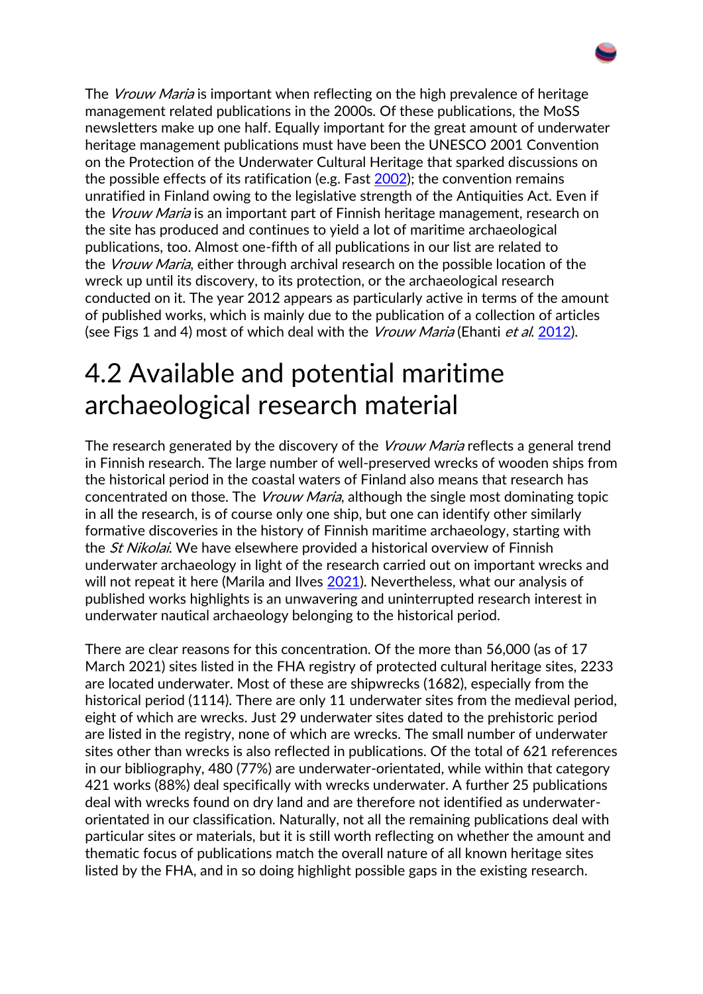The *Vrouw Maria* is important when reflecting on the high prevalence of heritage management related publications in the 2000s. Of these publications, the MoSS newsletters make up one half. Equally important for the great amount of underwater heritage management publications must have been the UNESCO 2001 Convention on the Protection of the Underwater Cultural Heritage that sparked discussions on the possible effects of its ratification (e.g. Fast [2002\)](https://intarch.ac.uk/journal/issue56/17/index.html#biblio); the convention remains unratified in Finland owing to the legislative strength of the Antiquities Act. Even if the *Vrouw Maria* is an important part of Finnish heritage management, research on the site has produced and continues to yield a lot of maritime archaeological publications, too. Almost one-fifth of all publications in our list are related to the *Vrouw Maria*, either through archival research on the possible location of the wreck up until its discovery, to its protection, or the archaeological research conducted on it. The year 2012 appears as particularly active in terms of the amount of published works, which is mainly due to the publication of a collection of articles (see Figs 1 and 4) most of which deal with the *Vrouw Maria* (Ehanti *et al.* [2012\)](https://intarch.ac.uk/journal/issue56/17/index.html#biblio).

#### 4.2 Available and potential maritime archaeological research material

The research generated by the discovery of the *Vrouw Maria* reflects a general trend in Finnish research. The large number of well-preserved wrecks of wooden ships from the historical period in the coastal waters of Finland also means that research has concentrated on those. The *Vrouw Maria*, although the single most dominating topic in all the research, is of course only one ship, but one can identify other similarly formative discoveries in the history of Finnish maritime archaeology, starting with the *St Nikolai*. We have elsewhere provided a historical overview of Finnish underwater archaeology in light of the research carried out on important wrecks and will not repeat it here (Marila and Ilves [2021\)](https://intarch.ac.uk/journal/issue56/17/index.html#biblio). Nevertheless, what our analysis of published works highlights is an unwavering and uninterrupted research interest in underwater nautical archaeology belonging to the historical period.

There are clear reasons for this concentration. Of the more than 56,000 (as of 17 March 2021) sites listed in the FHA registry of protected cultural heritage sites, 2233 are located underwater. Most of these are shipwrecks (1682), especially from the historical period (1114). There are only 11 underwater sites from the medieval period, eight of which are wrecks. Just 29 underwater sites dated to the prehistoric period are listed in the registry, none of which are wrecks. The small number of underwater sites other than wrecks is also reflected in publications. Of the total of 621 references in our bibliography, 480 (77%) are underwater-orientated, while within that category 421 works (88%) deal specifically with wrecks underwater. A further 25 publications deal with wrecks found on dry land and are therefore not identified as underwaterorientated in our classification. Naturally, not all the remaining publications deal with particular sites or materials, but it is still worth reflecting on whether the amount and thematic focus of publications match the overall nature of all known heritage sites listed by the FHA, and in so doing highlight possible gaps in the existing research.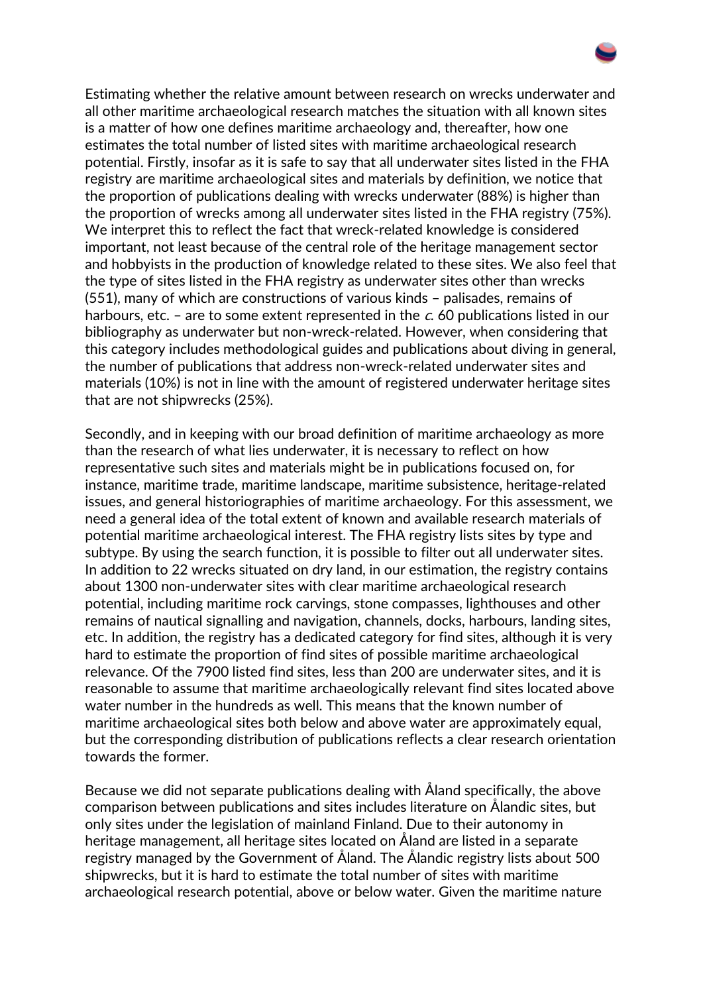Estimating whether the relative amount between research on wrecks underwater and all other maritime archaeological research matches the situation with all known sites is a matter of how one defines maritime archaeology and, thereafter, how one estimates the total number of listed sites with maritime archaeological research potential. Firstly, insofar as it is safe to say that all underwater sites listed in the FHA registry are maritime archaeological sites and materials by definition, we notice that the proportion of publications dealing with wrecks underwater (88%) is higher than the proportion of wrecks among all underwater sites listed in the FHA registry (75%). We interpret this to reflect the fact that wreck-related knowledge is considered important, not least because of the central role of the heritage management sector and hobbyists in the production of knowledge related to these sites. We also feel that the type of sites listed in the FHA registry as underwater sites other than wrecks (551), many of which are constructions of various kinds – palisades, remains of harbours, etc. – are to some extent represented in the  $c$ . 60 publications listed in our bibliography as underwater but non-wreck-related. However, when considering that this category includes methodological guides and publications about diving in general, the number of publications that address non-wreck-related underwater sites and materials (10%) is not in line with the amount of registered underwater heritage sites that are not shipwrecks (25%).

Secondly, and in keeping with our broad definition of maritime archaeology as more than the research of what lies underwater, it is necessary to reflect on how representative such sites and materials might be in publications focused on, for instance, maritime trade, maritime landscape, maritime subsistence, heritage-related issues, and general historiographies of maritime archaeology. For this assessment, we need a general idea of the total extent of known and available research materials of potential maritime archaeological interest. The FHA registry lists sites by type and subtype. By using the search function, it is possible to filter out all underwater sites. In addition to 22 wrecks situated on dry land, in our estimation, the registry contains about 1300 non-underwater sites with clear maritime archaeological research potential, including maritime rock carvings, stone compasses, lighthouses and other remains of nautical signalling and navigation, channels, docks, harbours, landing sites, etc. In addition, the registry has a dedicated category for find sites, although it is very hard to estimate the proportion of find sites of possible maritime archaeological relevance. Of the 7900 listed find sites, less than 200 are underwater sites, and it is reasonable to assume that maritime archaeologically relevant find sites located above water number in the hundreds as well. This means that the known number of maritime archaeological sites both below and above water are approximately equal, but the corresponding distribution of publications reflects a clear research orientation towards the former.

Because we did not separate publications dealing with Åland specifically, the above comparison between publications and sites includes literature on Ålandic sites, but only sites under the legislation of mainland Finland. Due to their autonomy in heritage management, all heritage sites located on Åland are listed in a separate registry managed by the Government of Åland. The Ålandic registry lists about 500 shipwrecks, but it is hard to estimate the total number of sites with maritime archaeological research potential, above or below water. Given the maritime nature

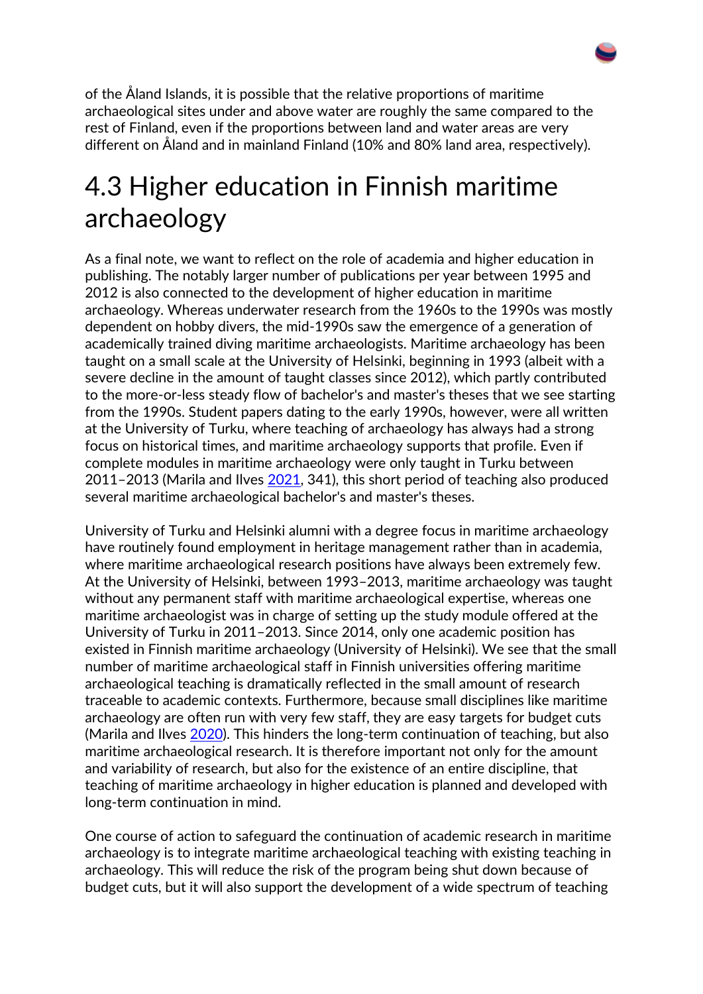of the Åland Islands, it is possible that the relative proportions of maritime archaeological sites under and above water are roughly the same compared to the rest of Finland, even if the proportions between land and water areas are very different on Åland and in mainland Finland (10% and 80% land area, respectively).

#### 4.3 Higher education in Finnish maritime archaeology

As a final note, we want to reflect on the role of academia and higher education in publishing. The notably larger number of publications per year between 1995 and 2012 is also connected to the development of higher education in maritime archaeology. Whereas underwater research from the 1960s to the 1990s was mostly dependent on hobby divers, the mid-1990s saw the emergence of a generation of academically trained diving maritime archaeologists. Maritime archaeology has been taught on a small scale at the University of Helsinki, beginning in 1993 (albeit with a severe decline in the amount of taught classes since 2012), which partly contributed to the more-or-less steady flow of bachelor's and master's theses that we see starting from the 1990s. Student papers dating to the early 1990s, however, were all written at the University of Turku, where teaching of archaeology has always had a strong focus on historical times, and maritime archaeology supports that profile. Even if complete modules in maritime archaeology were only taught in Turku between 2011–2013 (Marila and Ilves [2021,](https://intarch.ac.uk/journal/issue56/17/index.html#biblio) 341), this short period of teaching also produced several maritime archaeological bachelor's and master's theses.

University of Turku and Helsinki alumni with a degree focus in maritime archaeology have routinely found employment in heritage management rather than in academia, where maritime archaeological research positions have always been extremely few. At the University of Helsinki, between 1993–2013, maritime archaeology was taught without any permanent staff with maritime archaeological expertise, whereas one maritime archaeologist was in charge of setting up the study module offered at the University of Turku in 2011–2013. Since 2014, only one academic position has existed in Finnish maritime archaeology (University of Helsinki). We see that the small number of maritime archaeological staff in Finnish universities offering maritime archaeological teaching is dramatically reflected in the small amount of research traceable to academic contexts. Furthermore, because small disciplines like maritime archaeology are often run with very few staff, they are easy targets for budget cuts (Marila and Ilves [2020\)](https://intarch.ac.uk/journal/issue56/17/index.html#biblio). This hinders the long-term continuation of teaching, but also maritime archaeological research. It is therefore important not only for the amount and variability of research, but also for the existence of an entire discipline, that teaching of maritime archaeology in higher education is planned and developed with long-term continuation in mind.

One course of action to safeguard the continuation of academic research in maritime archaeology is to integrate maritime archaeological teaching with existing teaching in archaeology. This will reduce the risk of the program being shut down because of budget cuts, but it will also support the development of a wide spectrum of teaching

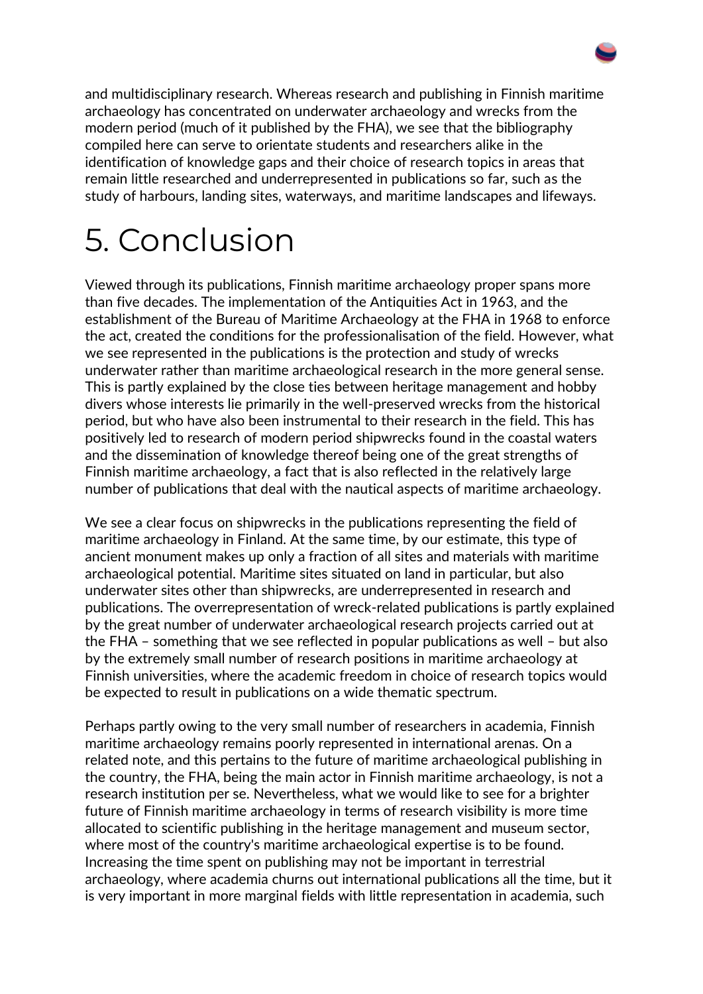and multidisciplinary research. Whereas research and publishing in Finnish maritime archaeology has concentrated on underwater archaeology and wrecks from the modern period (much of it published by the FHA), we see that the bibliography compiled here can serve to orientate students and researchers alike in the identification of knowledge gaps and their choice of research topics in areas that remain little researched and underrepresented in publications so far, such as the study of harbours, landing sites, waterways, and maritime landscapes and lifeways.

## 5. Conclusion

Viewed through its publications, Finnish maritime archaeology proper spans more than five decades. The implementation of the Antiquities Act in 1963, and the establishment of the Bureau of Maritime Archaeology at the FHA in 1968 to enforce the act, created the conditions for the professionalisation of the field. However, what we see represented in the publications is the protection and study of wrecks underwater rather than maritime archaeological research in the more general sense. This is partly explained by the close ties between heritage management and hobby divers whose interests lie primarily in the well-preserved wrecks from the historical period, but who have also been instrumental to their research in the field. This has positively led to research of modern period shipwrecks found in the coastal waters and the dissemination of knowledge thereof being one of the great strengths of Finnish maritime archaeology, a fact that is also reflected in the relatively large number of publications that deal with the nautical aspects of maritime archaeology.

We see a clear focus on shipwrecks in the publications representing the field of maritime archaeology in Finland. At the same time, by our estimate, this type of ancient monument makes up only a fraction of all sites and materials with maritime archaeological potential. Maritime sites situated on land in particular, but also underwater sites other than shipwrecks, are underrepresented in research and publications. The overrepresentation of wreck-related publications is partly explained by the great number of underwater archaeological research projects carried out at the FHA – something that we see reflected in popular publications as well – but also by the extremely small number of research positions in maritime archaeology at Finnish universities, where the academic freedom in choice of research topics would be expected to result in publications on a wide thematic spectrum.

Perhaps partly owing to the very small number of researchers in academia, Finnish maritime archaeology remains poorly represented in international arenas. On a related note, and this pertains to the future of maritime archaeological publishing in the country, the FHA, being the main actor in Finnish maritime archaeology, is not a research institution per se. Nevertheless, what we would like to see for a brighter future of Finnish maritime archaeology in terms of research visibility is more time allocated to scientific publishing in the heritage management and museum sector, where most of the country's maritime archaeological expertise is to be found. Increasing the time spent on publishing may not be important in terrestrial archaeology, where academia churns out international publications all the time, but it is very important in more marginal fields with little representation in academia, such

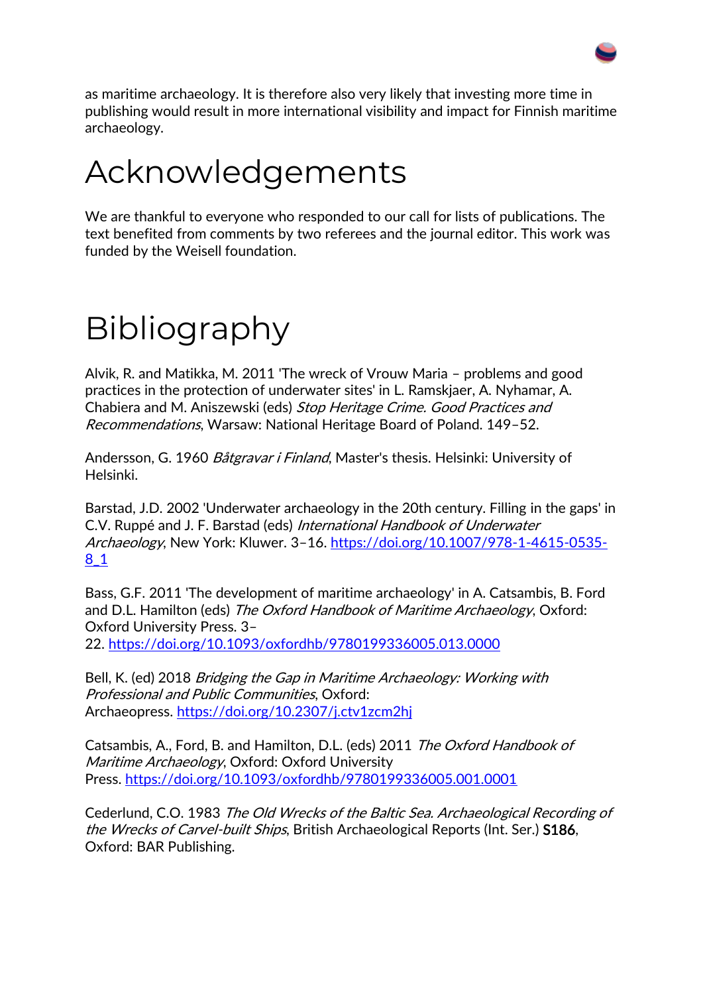as maritime archaeology. It is therefore also very likely that investing more time in publishing would result in more international visibility and impact for Finnish maritime archaeology.

## Acknowledgements

We are thankful to everyone who responded to our call for lists of publications. The text benefited from comments by two referees and the journal editor. This work was funded by the Weisell foundation.

# Bibliography

Alvik, R. and Matikka, M. 2011 'The wreck of Vrouw Maria – problems and good practices in the protection of underwater sites' in L. Ramskjaer, A. Nyhamar, A. Chabiera and M. Aniszewski (eds) Stop Heritage Crime. Good Practices and Recommendations, Warsaw: National Heritage Board of Poland. 149–52.

Andersson, G. 1960 Båtgravar i Finland, Master's thesis. Helsinki: University of Helsinki.

Barstad, J.D. 2002 'Underwater archaeology in the 20th century. Filling in the gaps' in C.V. Ruppé and J. F. Barstad (eds) International Handbook of Underwater Archaeology, New York: Kluwer. 3–16. [https://doi.org/10.1007/978-1-4615-0535-](https://doi.org/10.1007/978-1-4615-0535-8_1) [8\\_1](https://doi.org/10.1007/978-1-4615-0535-8_1)

Bass, G.F. 2011 'The development of maritime archaeology' in A. Catsambis, B. Ford and D.L. Hamilton (eds) The Oxford Handbook of Maritime Archaeology, Oxford: Oxford University Press. 3– 22. <https://doi.org/10.1093/oxfordhb/9780199336005.013.0000>

Bell, K. (ed) 2018 Bridging the Gap in Maritime Archaeology: Working with Professional and Public Communities, Oxford: Archaeopress. <https://doi.org/10.2307/j.ctv1zcm2hj>

Catsambis, A., Ford, B. and Hamilton, D.L. (eds) 2011 The Oxford Handbook of Maritime Archaeology, Oxford: Oxford University Press. <https://doi.org/10.1093/oxfordhb/9780199336005.001.0001>

Cederlund, C.O. 1983 The Old Wrecks of the Baltic Sea. Archaeological Recording of the Wrecks of Carvel-built Ships, British Archaeological Reports (Int. Ser.) S186, Oxford: BAR Publishing.

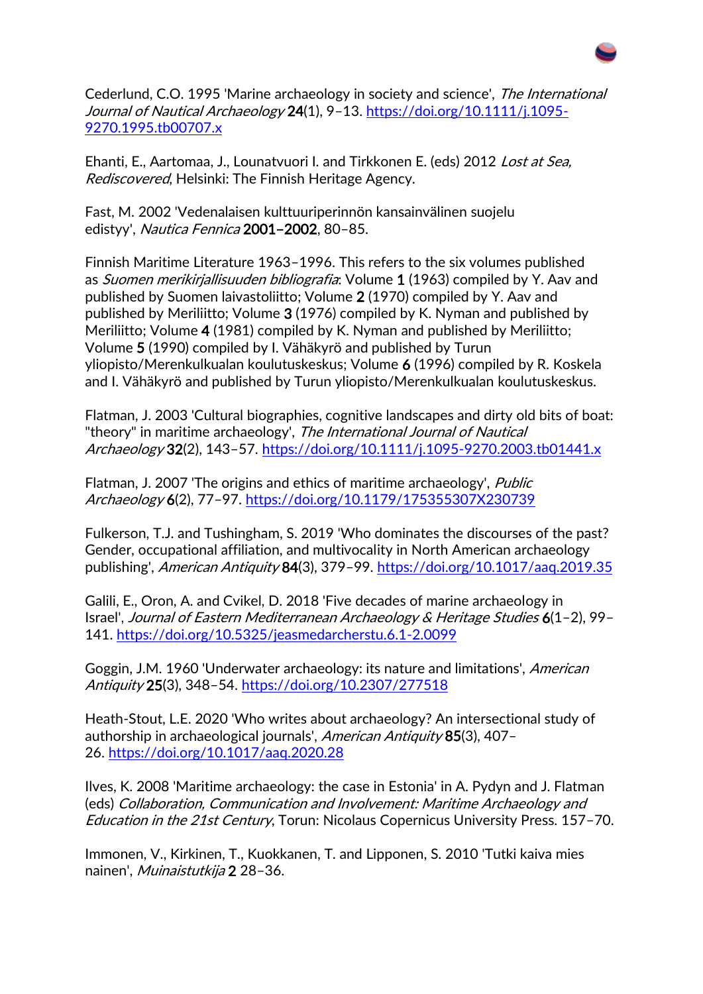Cederlund, C.O. 1995 'Marine archaeology in society and science', The International Journal of Nautical Archaeology 24(1), 9-13. [https://doi.org/10.1111/j.1095-](https://doi.org/10.1111/j.1095-9270.1995.tb00707.x) [9270.1995.tb00707.x](https://doi.org/10.1111/j.1095-9270.1995.tb00707.x)

Ehanti, E., Aartomaa, J., Lounatvuori I. and Tirkkonen E. (eds) 2012 Lost at Sea, Rediscovered, Helsinki: The Finnish Heritage Agency.

Fast, M. 2002 'Vedenalaisen kulttuuriperinnön kansainvälinen suojelu edistyy', Nautica Fennica 2001–2002, 80–85.

Finnish Maritime Literature 1963–1996. This refers to the six volumes published as Suomen merikirjallisuuden bibliografia: Volume 1 (1963) compiled by Y. Aav and published by Suomen laivastoliitto; Volume 2 (1970) compiled by Y. Aav and published by Meriliitto; Volume 3 (1976) compiled by K. Nyman and published by Meriliitto; Volume 4 (1981) compiled by K. Nyman and published by Meriliitto; Volume 5 (1990) compiled by I. Vähäkyrö and published by Turun yliopisto/Merenkulkualan koulutuskeskus; Volume 6 (1996) compiled by R. Koskela and I. Vähäkyrö and published by Turun yliopisto/Merenkulkualan koulutuskeskus.

Flatman, J. 2003 'Cultural biographies, cognitive landscapes and dirty old bits of boat: "theory" in maritime archaeology', The International Journal of Nautical Archaeology 32(2), 143–57. <https://doi.org/10.1111/j.1095-9270.2003.tb01441.x>

Flatman, J. 2007 'The origins and ethics of maritime archaeology', Public Archaeology 6(2), 77–97. <https://doi.org/10.1179/175355307X230739>

Fulkerson, T.J. and Tushingham, S. 2019 'Who dominates the discourses of the past? Gender, occupational affiliation, and multivocality in North American archaeology publishing', American Antiquity 84(3), 379-99. <https://doi.org/10.1017/aaq.2019.35>

Galili, E., Oron, A. and Cvikel, D. 2018 'Five decades of marine archaeology in Israel', Journal of Eastern Mediterranean Archaeology & Heritage Studies 6(1–2), 99– 141. <https://doi.org/10.5325/jeasmedarcherstu.6.1-2.0099>

Goggin, J.M. 1960 'Underwater archaeology: its nature and limitations', American Antiquity 25(3), 348–54. <https://doi.org/10.2307/277518>

Heath-Stout, L.E. 2020 'Who writes about archaeology? An intersectional study of authorship in archaeological journals', American Antiquity 85(3), 407-26. <https://doi.org/10.1017/aaq.2020.28>

Ilves, K. 2008 'Maritime archaeology: the case in Estonia' in A. Pydyn and J. Flatman (eds) Collaboration, Communication and Involvement: Maritime Archaeology and Education in the 21st Century, Torun: Nicolaus Copernicus University Press. 157–70.

Immonen, V., Kirkinen, T., Kuokkanen, T. and Lipponen, S. 2010 'Tutki kaiva mies nainen', Muinaistutkija 2 28–36.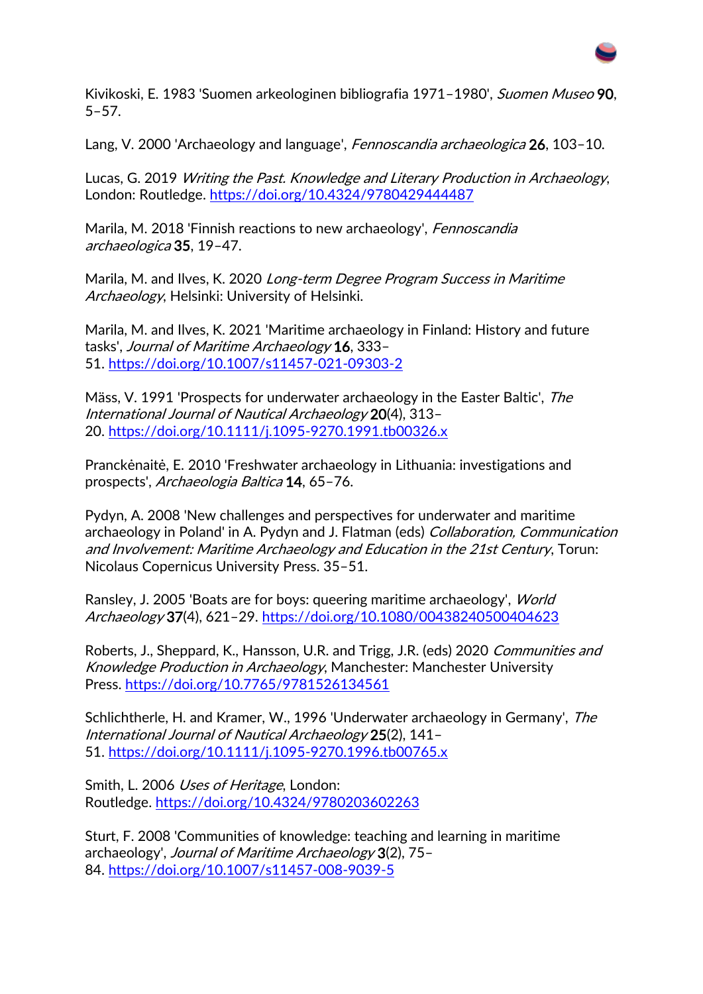

Kivikoski, E. 1983 'Suomen arkeologinen bibliografia 1971–1980', Suomen Museo 90, 5–57.

Lang, V. 2000 'Archaeology and language', Fennoscandia archaeologica 26, 103-10.

Lucas, G. 2019 Writing the Past. Knowledge and Literary Production in Archaeology, London: Routledge. <https://doi.org/10.4324/9780429444487>

Marila, M. 2018 'Finnish reactions to new archaeology', *Fennoscandia* archaeologica 35, 19–47.

Marila, M. and Ilves, K. 2020 Long-term Degree Program Success in Maritime Archaeology, Helsinki: University of Helsinki.

Marila, M. and Ilves, K. 2021 'Maritime archaeology in Finland: History and future tasks', Journal of Maritime Archaeology 16, 333– 51. <https://doi.org/10.1007/s11457-021-09303-2>

Mäss, V. 1991 'Prospects for underwater archaeology in the Easter Baltic', The International Journal of Nautical Archaeology 20(4), 313– 20. <https://doi.org/10.1111/j.1095-9270.1991.tb00326.x>

Pranckėnaitė, E. 2010 'Freshwater archaeology in Lithuania: investigations and prospects', Archaeologia Baltica 14, 65–76.

Pydyn, A. 2008 'New challenges and perspectives for underwater and maritime archaeology in Poland' in A. Pydyn and J. Flatman (eds) Collaboration, Communication and Involvement: Maritime Archaeology and Education in the 21st Century, Torun: Nicolaus Copernicus University Press. 35–51.

Ransley, J. 2005 'Boats are for boys: queering maritime archaeology', World Archaeology 37(4), 621-29. <https://doi.org/10.1080/00438240500404623>

Roberts, J., Sheppard, K., Hansson, U.R. and Trigg, J.R. (eds) 2020 Communities and Knowledge Production in Archaeology, Manchester: Manchester University Press. <https://doi.org/10.7765/9781526134561>

Schlichtherle, H. and Kramer, W., 1996 'Underwater archaeology in Germany', The International Journal of Nautical Archaeology 25(2), 141– 51. <https://doi.org/10.1111/j.1095-9270.1996.tb00765.x>

Smith, L. 2006 Uses of Heritage, London: Routledge. <https://doi.org/10.4324/9780203602263>

Sturt, F. 2008 'Communities of knowledge: teaching and learning in maritime archaeology', Journal of Maritime Archaeology 3(2), 75– 84. <https://doi.org/10.1007/s11457-008-9039-5>